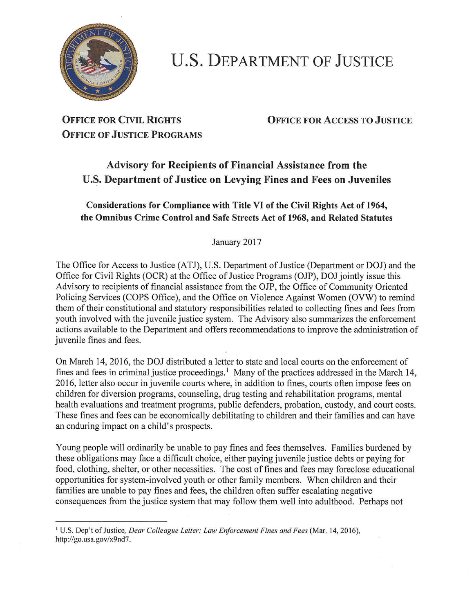

## **U.S. DEPARTMENT OF JUSTICE**

# **OFFICE OF JUSTICE PROGRAMS**

**OFFICE FOR CIVIL RIGHTS OFFICE FOR** ACCESS **TO JUSTICE** 

### **Advisory for Recipients of Financial Assistance from the U.S. Department of Justice on Levying Fines and Fees on Juveniles**

#### **Considerations for Compliance with Title VI of the Civil Rights Act of 1964, the Omnibus Crime Control and Safe Streets Act of 1968, and Related Statutes**

January 2017

The Office for Access to Justice (ATJ), U.S. Department of Justice (Department or DOJ) and the Office for Civil Rights (OCR) at the Office of Justice Programs (OJP), DOJ jointly issue this Advisory to recipients of financial assistance from the OJP, the Office of Community Oriented Policing Services (COPS Office), and the Office on Violence Against Women (OVW) to remind them of their constitutional and statutory responsibilities related to collecting fines and fees from youth involved with the juvenile justice system. The Advisory also summarizes the enforcement actions available to the Department and offers recommendations to improve the administration of juvenile fines and fees.

On March 14, 2016, the DOJ distributed a letter to state and local courts on the enforcement of fines and fees in criminal justice proceedings.<sup>1</sup> Many of the practices addressed in the March 14, 2016, letter also occur in juvenile courts where, in addition to fines, courts often impose fees on children for diversion programs, counseling, drug testing and rehabilitation programs, mental health evaluations and treatment programs, public defenders, probation, custody, and court costs. These fines and fees can be economically debilitating to children and their families and can have an enduring impact on a child's prospects.

Young people will ordinarily be unable to pay fines and fees themselves. Families burdened by these obligations may face a difficult choice, either paying juvenile justice debts or paying for food, clothing, shelter, or other necessities. The cost of fines and fees may foreclose educational opportunities for system-involved youth or other family members. When children and their families are unable to pay fines and fees, the children often suffer escalating negative consequences from the justice system that may follow them well into adulthood. Perhaps not

<sup>1</sup> U.S. Dep't of Justice, *Dear Colleague Letter: Law Enforcement Fines and Fees* (Mar. 14, 2016), http://go.usa.gov/x9nd7.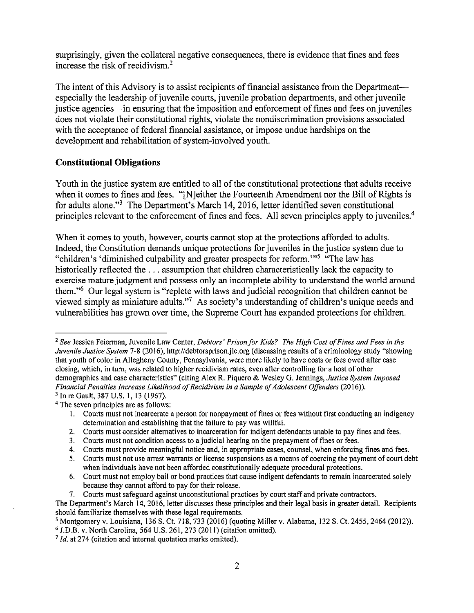surprisingly, given the collateral negative consequences, there is evidence that fines and fees increase the risk of recidivism.<sup>2</sup>

The intent of this Advisory is to assist recipients of financial assistance from the Departmentespecially the leadership of juvenile courts, juvenile probation departments, and other juvenile justice agencies—in ensuring that the imposition and enforcement of fines and fees on juveniles does not violate their constitutional rights, violate the nondiscrimination provisions associated with the acceptance of federal financial assistance, or impose undue hardships on the development and rehabilitation of system-involved youth.

#### **Constitutional Obligations**

Youth in the justice system are entitled to all of the constitutional protections that adults receive when it comes to fines and fees. "[N]either the Fourteenth Amendment nor the Bill of Rights is for adults alone."3 The Department's March 14, 2016, letter identified seven constitutional principles relevant to the enforcement of fines and fees. All seven principles apply to juveniles.<sup>4</sup>

When it comes to youth, however, courts cannot stop at the protections afforded to adults. Indeed, the Constitution demands unique protections for juveniles in the justice system due to "children's 'diminished culpability and greater prospects for reform."<sup>5</sup> "The law has historically reflected the ... assumption that children characteristically lack the capacity to exercise mature judgment and possess only an incomplete ability to understand the world around them."6 Our legal system is "replete with laws and judicial recognition that children cannot be viewed simply as miniature adults."7 As society's understanding of children's unique needs and vulnerabilities has grown over time, the Supreme Court has expanded protections for children.

4 The seven principles are as follows:

<sup>&</sup>lt;sup>2</sup> See Jessica Feierman, Juvenile Law Center, *Debtors' Prison for Kids? The High Cost of Fines and Fees in the Juvenile Justice System* 7-8(2016), http://debtorsprison.jlc.org (discussing results of a criminology study "showing that youth of color in Allegheny County, Pennsylvania, were more likely to have costs or fees owed after case closing, which, in tum, was related to higher recidivism rates, even after controlling for a host of other demographics and case characteristics" (citing Alex R. Piquero & Wesley G. Jennings, *Justice System Imposed Financial Penalties Increase Likelihood of Recidivism in a Sample of Adolescent Offenders (2016)).* 3 In re Gault, 387 U.S. I, 13 (1967).

<sup>1.</sup> Courts must not incarcerate a person for nonpayment of fines or fees without first conducting an indigency determination and establishing that the failure to pay was willful.

<sup>2.</sup>  Courts must consider alternatives to incarceration for indigent defendants unable to pay fines and fees.

<sup>3.</sup>  Courts must not condition access to a judicial hearing on the prepayment of fines or fees.

<sup>4.</sup>  Courts must provide meaningful notice and, in appropriate cases, counsel, when enforcing fines and fees.

<sup>5.</sup>  Courts must not use arrest warrants or license suspensions as a means of coercing the payment of court debt when individuals have not been afforded constitutionally adequate procedural protections.

<sup>6.</sup>  Court must not employ bail or bond practices that cause indigent defendants to remain incarcerated solely because they cannot afford to pay for their release.

<sup>7.</sup> Courts must safeguard against unconstitutional practices by court staff and private contractors.

The Department's March 14, 2016, letter discusses these principles and their legal basis in greater detail. Recipients should familiarize themselves with these legal requirements.

<sup>&</sup>lt;sup>5</sup> Montgomery v. Louisiana, 136 S. Ct. 718, 733 (2016) (quoting Miller v. Alabama, 132 S. Ct. 2455, 2464 (2012)).<br><sup>6</sup> J.D.B. v. North Carolina, 564 U.S. 261, 273 (2011) (citation omitted).<br><sup>7</sup> *Id.* at 274 (citation and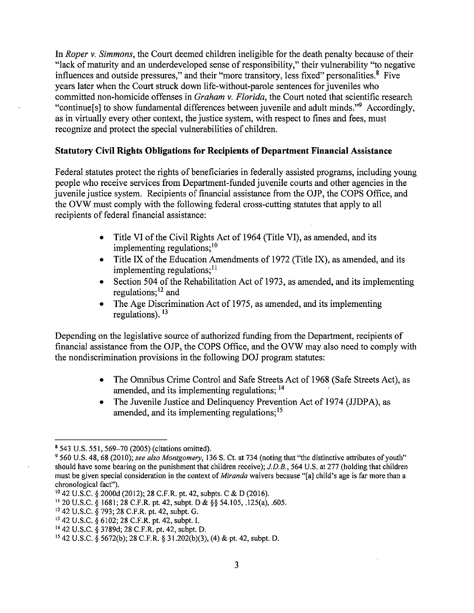In *Roper* v. *Simmons,* the Court deemed children ineligible for the death penalty because of their "lack of maturity and an underdeveloped sense of responsibility," their vulnerability "to negative influences and outside pressures," and their "more transitory, less fixed" personalities.<sup>8</sup> Five years later when the Court struck down life-without-parole sentences for juveniles who committed non-homicide offenses in *Graham* v. *Florida,* the Court noted that scientific research "continue<sup>[s]</sup> to show fundamental differences between juvenile and adult minds."<sup>9</sup> Accordingly, as in virtually every other context, the justice system, with respect to fines and fees, must recognize and protect the special vulnerabilities of children.

#### **Statutory Civil Rights Obligations for Recipients of Department Financial Assistance**

Federal statutes protect the rights of beneficiaries in federally assisted programs, including young people who receive services from Department-funded juvenile courts and other agencies in the juvenile justice system. Recipients of financial assistance from the OJP, the COPS Office, and the OVW must comply with the following federal cross-cutting statutes that apply to all recipients of federal financial assistance:

- Title VI of the Civil Rights Act of 1964 (Title VI), as amended, and its implementing regulations;<sup>10</sup>
- Title IX of the Education Amendments of 1972 (Title IX), as amended, and its implementing regulations;  $11$
- Section 504 of the Rehabilitation Act of 1973, as amended, and its implementing regulations;<sup>12</sup> and
- The Age Discrimination Act of 1975, as amended, and its implementing regulations). <sup>13</sup>

Depending on the legislative source of authorized funding from the Department, recipients of financial assistance from the OJP, the COPS Office, and the OVW may also need to comply with the nondiscrimination provisions in the following DOJ program statutes:

- The Omnibus Crime Control and Safe Streets Act of 1968 (Safe Streets Act), as amended, and its implementing regulations; <sup>14</sup>
- The Juvenile Justice and Delinquency Prevention Act of 1974 (JJDPA), as amended, and its implementing regulations; 15

<sup>8 543</sup> U.S. 551, 569-70 (2005) (citations omitted).

<sup>9 560</sup> U.S. 48, 68 (2010); *see also Montgomery,* 136 S. Ct. at 734 (noting that "the distinctive attributes of youth" should have some bearing on the punishment that children receive); *J.D.B.,* 564 U.S. at 277 (holding that children must be given special consideration in the context of *Miranda* waivers because "[a] child's age is far more than a chronological fact").

<sup>10 42</sup> U.S.C. § 2000d (2012); 28 C.F.R. pt. 42, subpts. C & D (2016).

<sup>11</sup> 20 U.S.C. § 1681; 28 C.F.R. pt. 42, subpt. D & §§ 54.105, .125(a), .605.

<sup>12 42</sup> U.S.C. § 793; 28 C.F.R. pt. 42, subpt. G.

<sup>13 42</sup> U.S.C. § 6102; 28 C.F.R. pt. 42, subpt. I.

<sup>14</sup> 42 U.S.C. § 3789d; 28 C.F.R. pt. 42, subpt. D.

<sup>&</sup>lt;sup>15</sup> 42 U.S.C. § 5672(b); 28 C.F.R. § 31.202(b)(3), (4) & pt. 42, subpt. D.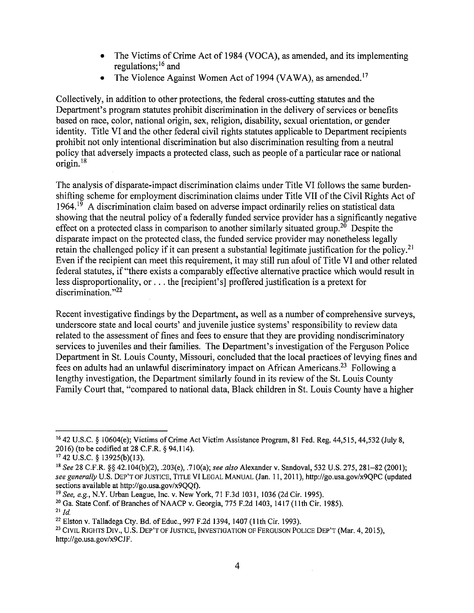- The Victims of Crime Act of 1984 (VOCA), as amended, and its implementing regulations; 16 and
- The Violence Against Women Act of 1994 (VAWA), as amended.<sup>17</sup>

Collectively, in addition to other protections, the federal cross-cutting statutes and the Department's program statutes prohibit discrimination in the delivery of services or benefits based on race, color, national origin, sex, religion, disability, sexual orientation, or gender identity. Title VI and the other federal civil rights statutes applicable to Department recipients prohibit not only intentional discrimination but also discrimination resulting from a neutral policy that adversely impacts a protected class, such as people of a particular race or national origin. 18

The analysis of disparate-impact discrimination claims under Title VI follows the same burdenshifting scheme for employment discrimination claims under Title VII of the Civil Rights Act of  $1964<sup>19</sup>$  A discrimination claim based on adverse impact ordinarily relies on statistical data showing that the neutral policy of a federally funded service provider has a significantly negative effect on a protected class in comparison to another similarly situated group.<sup>20</sup> Despite the disparate impact on the protected class, the funded service provider may nonetheless legally retain the challenged policy if it can present a substantial legitimate justification for the policy.<sup>21</sup> Even if the recipient can meet this requirement, it may still run afoul of Title VI and other related federal statutes, if"there exists a comparably effective alternative practice which would result in less disproportionality, or ... the [recipient's] proffered justification is a pretext for discrimination. $"22"$ 

Recent investigative findings by the Department, as well as a number of comprehensive surveys, underscore state and local courts' and juvenile justice systems' responsibility to review data related to the assessment of fines and fees to ensure that they are providing nondiscriminatory services to juveniles and their families. The Department's investigation of the Ferguson Police Department in St. Louis County, Missouri, concluded that the local practices of levying fines and fees on adults had an unlawful discriminatory impact on African Americans.23 Following a lengthy investigation, the Department similarly found in its review of the St. Louis County Family Court that, "compared to national data, Black children in St. Louis County have a higher

<sup>&</sup>lt;sup>16</sup> 42 U.S.C. § 10604(e); Victims of Crime Act Victim Assistance Program, 81 Fed. Reg. 44,515, 44,532 (July 8, 2016) (to be codified at 28 C.F.R. § 94.114).

<sup>17 42</sup> U.S.C. § 13925(b)(l3).

<sup>&</sup>lt;sup>18</sup> See 28 C.F.R. §§ 42.104(b)(2), .203(e), .710(a); *see also* Alexander v. Sandoval, 532 U.S. 275, 281–82 (2001); *see generally* U.S. DEP'T OF JUSTICE, TITLE VI LEGAL MANUAL (Jan. 11, 2011), http://go.usa.gov/x9QPC (updated sections available at http://go.usa.gov/x9OOf).

<sup>19</sup> See, *e.g.,* N.Y. Urban League, Inc. v. New York, 71 F.3d 1031, 1036 (2dCir. 1995).

<sup>&</sup>lt;sup>20</sup> Ga. State Conf. of Branches of NAACP v. Georgia, 775 F.2d 1403, 1417 (11th Cir. 1985).

 $^{21}$  *Id.* 

<sup>22</sup> Elston v. Talladega Cty. Bd. of Educ., 997 F.2d 1394, 1407 (I Ith Cir. 1993).

<sup>&</sup>lt;sup>23</sup> CIVIL RIGHTS DIV., U.S. DEP'T OF JUSTICE, INVESTIGATION OF FERGUSON POLICE DEP'T (Mar. 4, 2015). http://go.usa.gov/x9CJF.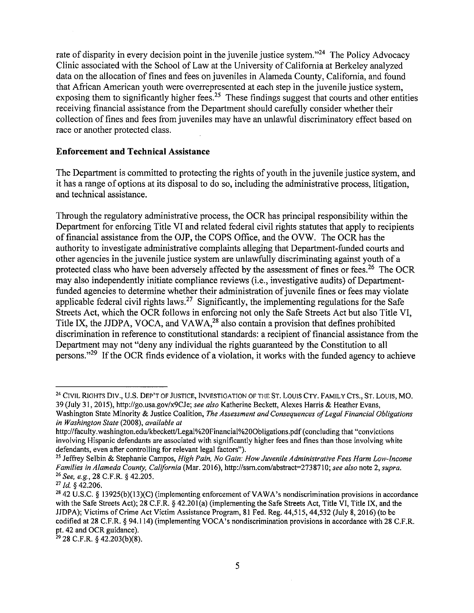rate of disparity in every decision point in the juvenile justice system."<sup>24</sup> The Policy Advocacy Clinic associated with the School of Law at the University of California at Berkeley analyzed data on the allocation of fines and fees on juveniles in Alameda County, California, and found that African American youth were overrepresented at each step in the juvenile justice system, exposing them to significantly higher fees.<sup>25</sup> These findings suggest that courts and other entities receiving financial assistance from the Department should carefully consider whether their collection of fines and fees from juveniles may have an unlawful discriminatory effect based on race or another protected class.

#### **Enforcement and Technical Assistance**

The Department is committed to protecting the rights of youth in the juvenile justice system, and it has a range of options at its disposal to do so, including the administrative process, litigation, and technical assistance.

Through the regulatory administrative process, the OCR has principal responsibility within the Department for enforcing Title VI and related federal civil rights statutes that apply to recipients of financial assistance from the OJP, the COPS Office, and the OVW. The OCR has the authority to investigate administrative complaints alleging that Department-funded courts and other agencies in the juvenile justice system are unlawfully discriminating against youth of a protected class who have been adversely affected by the assessment of fines or fees.<sup>26</sup> The OCR may also independently initiate compliance reviews (i.e., investigative audits) of Departmentfunded agencies to determine whether their administration of juvenile fines or fees may violate applicable federal civil rights laws.<sup>27</sup> Significantly, the implementing regulations for the Safe Streets Act, which the OCR follows in enforcing not only the Safe Streets Act but also Title VI, Title IX, the JJDPA, VOCA, and VAWA,<sup>28</sup> also contain a provision that defines prohibited discrimination in reference to constitutional standards: a recipient of financial assistance from the Department may not "deny any individual the rights guaranteed by the Constitution to all persons."<sup>29</sup> If the OCR finds evidence of a violation, it works with the funded agency to achieve

<sup>&</sup>lt;sup>24</sup> CIVIL RIGHTS DIV., U.S. DEP'T OF JUSTICE, INVESTIGATION OF THE ST. LOUIS CTY. FAMILY CTS., ST. LOUIS, MO. 39 (July 31, 2015), http://go.usa.gov/x9CJe; *see also* Katherine Beckett, Alexes Harris & Heather Evans, Washington State Minority & Justice Coalition, *The Assessment and Consequences of Legal Financial Obligations* 

*in Washington State* (2008), *available at* 

http://faculty.washington.edu/kbeckett/Legal%20Financial%20Obligations.pdf (concluding that "convictions") involving Hispanic defendants are associated with significantly higher fees and fines than those involving white defendants, even after controlling for relevant legal factors").

<sup>25</sup> Jeffrey Selbin & Stephanie Campos, *High Pain, No Gain: How Juvenile Administrative Fees Harm Low-Income Families in Alameda County, California* (Mar. 2016), http://ssm.com/abstract-2738710; *see also* note 2, *supra.*  26 *See, e.g.,* 28 C.F.R. § 42.205.

<sup>27</sup>*Id.* § 42.206.

<sup>&</sup>lt;sup>28</sup> 42 U.S.C. § 13925(b)(13)(C) (implementing enforcement of VAWA's nondiscrimination provisions in accordance with the Safe Streets Act); 28 C.F.R. § 42.201(a) (implementing the Safe Streets Act, Title VI, Title IX, and the JJDPA); Victims of Crime Act Victim Assistance Program, 81 Fed. Reg. 44,515, 44,532 (July 8, 2016) (to be codified at 28 C.F.R. § 94.114) (implementing VOCA's nondiscrimination provisions in accordance with 28 C.F.R. pt. 42 and OCR guidance).

 $29$  28 C.F.R. § 42.203(b)(8).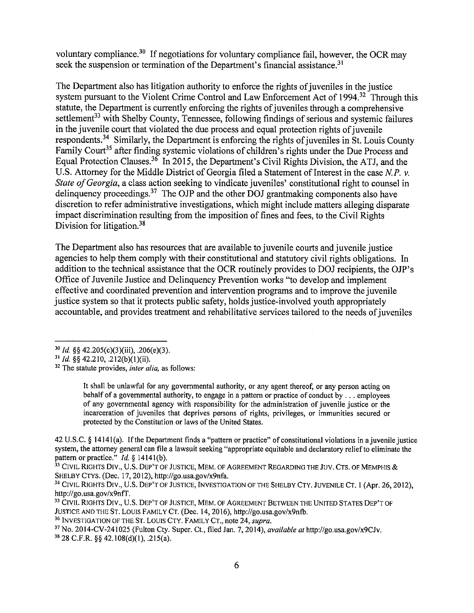voluntary compliance.<sup>30</sup> If negotiations for voluntary compliance fail, however, the OCR may seek the suspension or termination of the Department's financial assistance.<sup>31</sup>

The Department also has litigation authority to enforce the rights of juveniles in the justice system pursuant to the Violent Crime Control and Law Enforcement Act of 1994.<sup>32</sup> Through this statute, the Department is currently enforcing the rights of juveniles through a comprehensive settlement<sup>33</sup> with Shelby County, Tennessee, following findings of serious and systemic failures in the juvenile court that violated the due process and equal protection rights of juvenile respondents.<sup>34</sup> Similarly, the Department is enforcing the rights of juveniles in St. Louis County Family Court<sup>35</sup> after finding systemic violations of children's rights under the Due Process and Equal Protection Clauses.<sup>36</sup> In 2015, the Department's Civil Rights Division, the ATJ, and the U.S. Attorney for the Middle District of Georgia filed a Statement of Interest in the case *N.P. v. State of Georgia*, a class action seeking to vindicate juveniles' constitutional right to counsel in delinquency proceedings.<sup>37</sup> The OJP and the other DOJ grantmaking components also have discretion to refer administrative investigations, which might include matters alleging disparate impact discrimination resulting from the imposition of fines and fees, to the Civil Rights Division for litigation.<sup>38</sup>

The Department also has resources that are available to juvenile courts and juvenile justice agencies to help them comply with their constitutional and statutory civil rights obligations. In addition to the technical assistance that the OCR routinely provides to DOJ recipients, the OJP's Office of Juvenile Justice and Delinquency Prevention works "to develop and implement effective and coordinated prevention and intervention programs and to improve the juvenile justice system so that it protects public safety, holds justice-involved youth appropriately accountable, and provides treatment and rehabilitative services tailored to the needs of juveniles

It shall be unlawful for any governmental authority, or any agent thereof, or any person acting on behalf of a governmental authority, to engage in a pattern or practice of conduct by ... employees of any governmental agency with responsibility for the administration of juvenile justice or the incarceration of juveniles that deprives persons of rights, privileges, or immunities secured or protected by the Constitution or laws of the United States.

42 U.S.C. § 1414 l(a). lfthe Department finds a "pattern or practice" of constitutional violations in a juvenile justice system, the attorney general can file a lawsuit seeking "appropriate equitable and declaratory relief to eliminate the pattern or practice." *Id.* § 14141 (b).

<sup>33</sup> CIVIL RIGHTS DIV., U.S. DEP'T OF JUSTICE, MEM. OF AGREEMENT REGARDING THE JUV. CTS. OF MEMPHIS & SHELBY CTYS. (Dec. 17, 2012), http://go.usa.gov/x9nfa.

<sup>34</sup> CIVIL RIGHTS DIV., U.S. DEP'T OF JUSTICE, INVESTIGATION OF THE SHELBY CTY. JUVENILE CT. 1 (Apr. 26, 2012). http://go.usa.gov/x9nfT.

<sup>35</sup> CIVIL RIGHTS DIV., U.S. DEP'T OF JUSTICE, MEM. OF AGREEMENT BETWEEN THE UNITED STATES DEP'T OF JUSTICE AND THE ST. LOUIS FAMILY CT. (Dec. 14, 2016), http://go.usa.gov/x9nfb.

<sup>36</sup> INVESTIGATION OF THE ST. LOUIS CTY. FAMILY CT., note 24, *supra*.

<sup>37</sup>No. 2014-CV-241025 (Fulton Cty. Super. Ct., filed Jan. 7, 2014), *available at* http://go.usa.gov/x9CJv.  $38$  28 C.F.R. §§ 42.108(d)(1), .215(a).

<sup>30</sup>*Id.* §§ 42.205(c)(3)(iii), .206(e)(3).

<sup>31</sup> *Id.§§* 42.210, .212(b)(l)(ii).

<sup>32</sup> The statute provides, *inter alia,* as follows: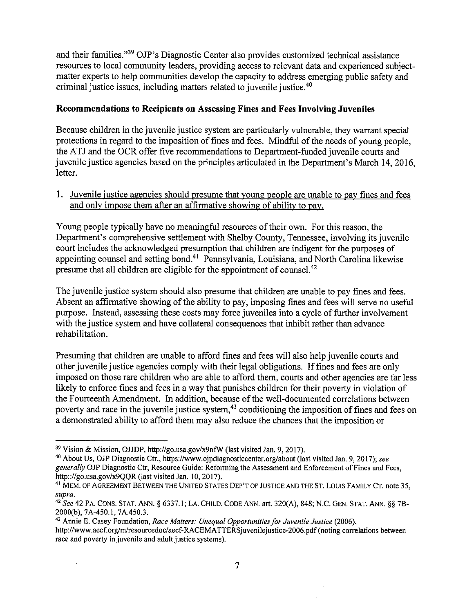and their families."39 OJP's Diagnostic Center also provides customized technical assistance resources to local community leaders, providing access to relevant data and experienced subjectmatter experts to help communities develop the capacity to address emerging public safety and criminal justice issues, including matters related to juvenile justice.<sup>40</sup>

#### **Recommendations to Recipients on Assessing Fines and Fees Involving Juveniles**

Because children in the juvenile justice system are particularly vulnerable, they warrant special protections in regard to the imposition of fines and fees. Mindful of the needs of young people, the ATJ and the OCR offer five recommendations to Department-funded juvenile courts and juvenile justice agencies based on the principles articulated in the Department's March 14, 2016, letter.

1. Juvenile justice agencies should presume that young people are unable to pay fines and fees and only impose them after an affirmative showing of ability to pay.

Young people typically have no meaningful resources of their own. For this reason, the Department's comprehensive settlement with Shelby County, Tennessee, involving its juvenile court includes the acknowledged presumption that children are indigent for the purposes of appointing counsel and setting bond.<sup>41</sup> Pennsylvania, Louisiana, and North Carolina likewise presume that all children are eligible for the appointment of counsel.42

The juvenile justice system should also presume that children are unable to pay fines and fees. Absent an affirmative showing of the ability to pay, imposing fines and fees will serve no useful purpose. Instead, assessing these costs may force juveniles into a cycle of further involvement with the justice system and have collateral consequences that inhibit rather than advance rehabilitation.

Presuming that children are unable to afford fines and fees will also help juvenile courts and other juvenile justice agencies comply with their legal obligations. Iffines and fees are only imposed on those rare children who are able to afford them, courts and other agencies are far less likely to enforce fines and fees in a way that punishes children for their poverty in violation of the Fourteenth Amendment. In addition, because of the well-documented correlations between poverty and race in the juvenile justice system,<sup>43</sup> conditioning the imposition of fines and fees on a demonstrated ability to afford them may also reduce the chances that the imposition or

J.

43 Annie E. Casey Foundation, *Race Matters: Unequal Opportunities for Juvenile Justice* (2006),

<sup>39</sup> Vision & Mission, OJJDP, http://go.usa.gov/x9nfW (last visited Jan. 9, 2017).

<sup>40</sup> About Us, OJP Diagnostic Ctr., https://www.ojpdiagnosticcenter.org/about (last visited Jan. 9, 2017); *see generally* OJP Diagnostic Ctr, Resource Guide: Reforming the Assessment and Enforcement of Fines and Fees, http:://go.usa.gov/x9QQR (last visited Jan. 10, 2017).

<sup>41</sup> MEM. OF AGREEMENT BETWEEN THE UNITED STATES DEP'T OF JUSTICE AND THE ST. LOUIS FAMILY CT. note 35, *supra.* 

 $42$  See 42 PA. CONS. STAT. ANN. § 6337.1; LA. CHILD. CODE ANN. art. 320(A), 848; N.C. GEN. STAT. ANN. §§ 7B-2000(b), 7A-450.l, 7A.450.3.

http://www.aecf.org/m/resourcedoc/aecf-RACEMA TTERSjuvenilejustice-2006. pdf ( noting correlations between race and poverty in juvenile and adult justice systems).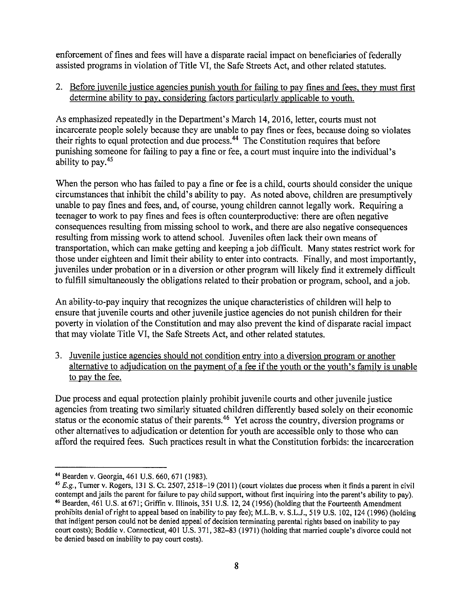enforcement of fines and fees will have a disparate racial impact on beneficiaries of federally assisted programs in violation of Title VI, the Safe Streets Act, and other related statutes.

2. Before juvenile justice agencies punish youth for failing to pay fines and fees, they must first determine ability to pay, considering factors particularly applicable to youth.

As emphasized repeatedly in the Department's March 14, 2016, letter, courts must not incarcerate people solely because they are unable to pay fines or fees, because doing so violates their rights to equal protection and due process.<sup>44</sup> The Constitution requires that before punishing someone for failing to pay a fine or fee, a court must inquire into the individual's ability to pay.<sup>45</sup>

When the person who has failed to pay a fine or fee is a child, courts should consider the unique circumstances that inhibit the child's ability to pay. As noted above, children are presumptively unable to pay fines and fees, and, of course, young children cannot legally work. Requiring a teenager to work to pay fines and fees is often counterproductive: there are often negative consequences resulting from missing school to work, and there are also negative consequences resulting from missing work to attend school. Juveniles often lack their own means of transportation, which can make getting and keeping a job difficult. Many states restrict work for those under eighteen and limit their ability to enter into contracts. Finally, and most importantly, juveniles under probation or in a diversion or other program will likely find it extremely difficult to fulfill simultaneously the obligations related to their probation or program, school, and a job.

An ability-to-pay inquiry that recognizes the unique characteristics of children will help to ensure that juvenile courts and other juvenile justice agencies do not punish children for their poverty in violation of the Constitution and may also prevent the kind of disparate racial impact that may violate Title VI, the Safe Streets Act, and other related statutes.

3. Juvenile justice agencies should not condition entry into a diversion program or another alternative to adjudication on the payment of a fee if the youth or the youth's family is unable to pay the fee.

Due process and equal protection plainly prohibit juvenile courts and other juvenile justice agencies from treating two similarly situated children differently based solely on their economic status or the economic status of their parents.<sup>46</sup> Yet across the country, diversion programs or other alternatives to adjudication or detention for youth are accessible only to those who can afford the required fees. Such practices result in what the Constitution forbids: the incarceration

<sup>44</sup> Bearden v. Georgia, 461 U.S. 660,671 (1983). 45 *E.g.,* Turner v. Rogers, 131 S. Ct. 2507, 2518-19 (2011) (court violates due process when it finds a parent in civil contempt and jails the parent for failure to pay child support, without first inquiring into the parent's ability to pay). 46 Bearden, 461 U.S. at 671; Griffin v. Illinois, 351 U.S. 12, 24 (I 956)(holding that the Fourteenth Amendment prohibits denial ofright to appeal based on inability to pay fee); M.L.B. v. S.L.J., 519 U.S. 102, 124 (1996) (holding that indigent person could not be denied appeal of decision terminating parental rights based on inability to pay court costs); Boddie v. Connecticut, 401 U.S. 371, 382-83 (1971) (holding that married couple's divorce could not be denied based on inability to pay court costs).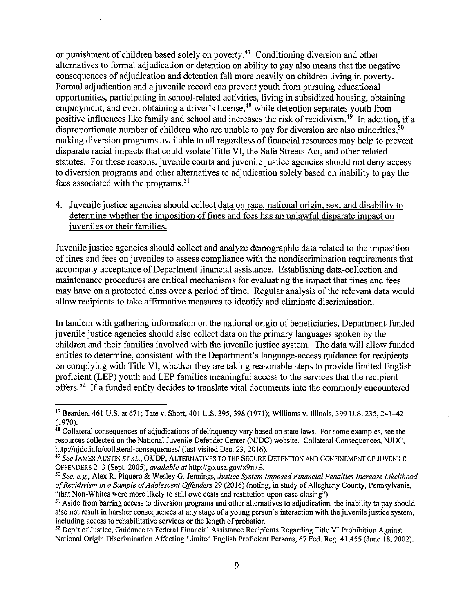or punishment of children based solely on poverty.47 Conditioning diversion and other alternatives to formal adjudication or detention on ability to pay also means that the negative consequences of adjudication and detention fall more heavily on children living in poverty. Formal adjudication and a juvenile record can prevent youth from pursuing educational opportunities, participating in school-related activities, living in subsidized housing, obtaining employment, and even obtaining a driver's license,<sup>48</sup> while detention separates youth from positive influences like family and school and increases the risk of recidivism.<sup>49</sup> In addition, if a disproportionate number of children who are unable to pay for diversion are also minorities.<sup>50</sup> making diversion programs available to all regardless of financial resources may help to prevent disparate racial impacts that could violate Title VI, the Safe Streets Act, and other related statutes. For these reasons, juvenile courts and juvenile justice agencies should not deny access to diversion programs and other alternatives to adjudication solely based on inability to pay the fees associated with the programs. 51

4. Juvenile justice agencies should collect data on race, national origin, sex, and disability to determine whether the imposition of fines and fees has an unlawful disparate impact on juveniles or their families.

Juvenile justice agencies should collect and analyze demographic data related to the imposition of fines and fees on juveniles to assess compliance with the nondiscrimination requirements that accompany acceptance of Department financial assistance. Establishing data-collection and maintenance procedures are critical mechanisms for evaluating the impact that fines and fees may have on a protected class over a period of time. Regular analysis of the relevant data would allow recipients to take affirmative measures to identify and eliminate discrimination.

In tandem with gathering information on the national origin of beneficiaries, Department-funded juvenile justice agencies should also collect data on the primary languages spoken by the children and their families involved with the juvenile justice system. The data will allow funded entities to determine, consistent with the Department's language-access guidance for recipients on complying with Title VI, whether they are taking reasonable steps to provide limited English proficient (LEP) youth and LEP families meaningful access to the services that the recipient offers.<sup>52</sup> If a funded entity decides to translate vital documents into the commonly encountered

<sup>52</sup> Dep't of Justice, Guidance to Federal Financial Assistance Recipients Regarding Title VI Prohibition Against National Origin Discrimination Affecting Limited English Proficient Persons, 67 Fed. Reg. 41,455 (June 18, 2002).

<sup>47</sup> Bearden, 461 U.S. at 671; Tate v. Short, 401 U.S. 395,398 (1971); Williams v. Illinois, 399 U.S.235, 241-42 (1970).

<sup>&</sup>lt;sup>48</sup> Collateral consequences of adjudications of delinquency vary based on state laws. For some examples, see the resources collected on the National Juvenile Defender Center (NJDC) website. Collateral Consequences, NJDC, http://njdc.info/collateral-consequences/ (last visited Dec. 23, 2016).

 $^{49}$  See James Austin  $\emph{et}$  al., OJJDP, Alternatives to the Secure Detention and Confinement of Juvenile OFFENDERS 2-3 (Sept. 2005), *available at* http://go.usa.gov/x9n7E.

*<sup>50</sup>*See, e.g., Alex R. Piquero & Wesley G. Jennings, *Justice System Imposed Financial Penalties Increase Likelihood ofRecidivism in a Sample ofAdolescent Offenders* 29 (2016) (noting, in study ofAllegheny County, Pennsylvania, "that Non-Whites were more likely to still owe costs and restitution upon case closing").

<sup>&</sup>lt;sup>51</sup> Aside from barring access to diversion programs and other alternatives to adjudication, the inability to pay should also not result in harsher consequences at any stage of a young person's interaction with the juvenile justice system, including access to rehabilitative services or the length of probation.